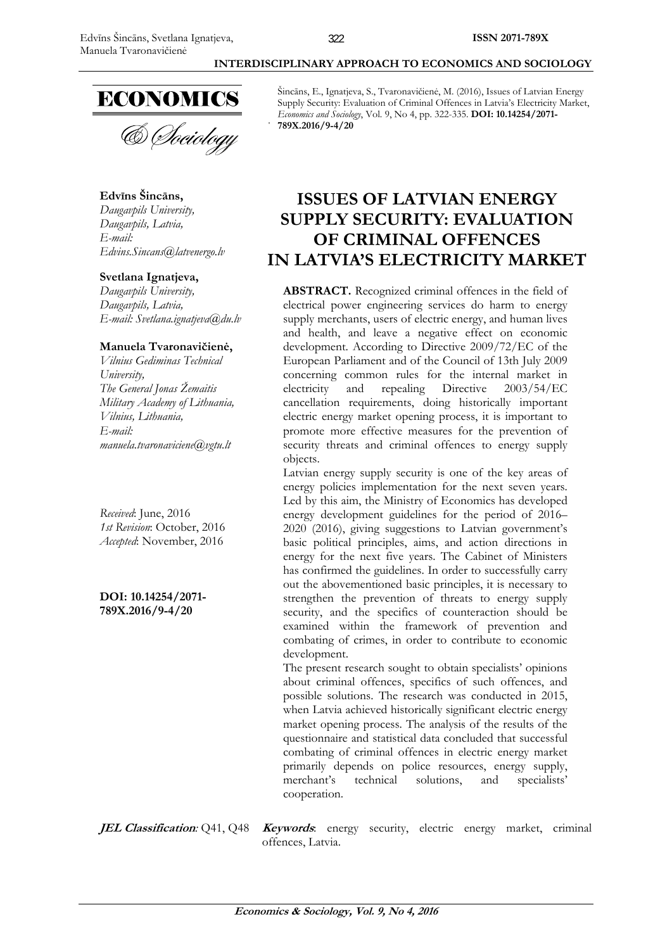

#### **Edvīns Šincāns,**

*Daugavpils University, Daugavpils, Latvia, E-mail: Edvins.Sincans@latvenergo.lv* 

#### **Svetlana Ignatjeva,**

*Daugavpils University, Daugavpils, Latvia, E-mail: Svetlana.ignatjeva@du.lv* 

#### **Manuela Tvaronavičienė,**

*Vilnius Gediminas Technical University, The General Jonas Žemaitis Military Academy of Lithuania, Vilnius, Lithuania, E-mail: manuela.tvaronaviciene@vgtu.lt* 

*Received*: June, 2016 *1st Revision*: October, 2016 *Accepted*: November, 2016

**DOI: 10.14254/2071- 789X.2016/9-4/20**

Šincāns, E., Ignatjeva, S., Tvaronavičienė, M. (2016), Issues of Latvian Energy Supply Security: Evaluation of Criminal Offences in Latvia's Electricity Market, *Economics and Sociology*, Vol. 9, No 4, pp. 322-335. **DOI: 10.14254/2071- 789X.2016/9-4/20** 

 **INTERDISCIPLINARY APPROACH TO ECONOMICS AND SOCIOLOGY** 

## **ISSUES OF LATVIAN ENERGY SUPPLY SECURITY: EVALUATION OF CRIMINAL OFFENCES IN LATVIA'S ELECTRICITY MARKET**

**ABSTRACT.** Recognized criminal offences in the field of electrical power engineering services do harm to energy supply merchants, users of electric energy, and human lives and health, and leave a negative effect on economic development. According to Directive 2009/72/EC of the European Parliament and of the Council of 13th July 2009 concerning common rules for the internal market in electricity and repealing Directive 2003/54/EC cancellation requirements, doing historically important electric energy market opening process, it is important to promote more effective measures for the prevention of security threats and criminal offences to energy supply objects.

Latvian energy supply security is one of the key areas of energy policies implementation for the next seven years. Led by this aim, the Ministry of Economics has developed energy development guidelines for the period of 2016– 2020 (2016), giving suggestions to Latvian government's basic political principles, aims, and action directions in energy for the next five years. The Cabinet of Ministers has confirmed the guidelines. In order to successfully carry out the abovementioned basic principles, it is necessary to strengthen the prevention of threats to energy supply security, and the specifics of counteraction should be examined within the framework of prevention and combating of crimes, in order to contribute to economic development.

The present research sought to obtain specialists' opinions about criminal offences, specifics of such offences, and possible solutions. The research was conducted in 2015, when Latvia achieved historically significant electric energy market opening process. The analysis of the results of the questionnaire and statistical data concluded that successful combating of criminal offences in electric energy market primarily depends on police resources, energy supply, merchant's technical solutions, and specialists' cooperation.

**JEL Classification***:* Q41, Q48 **Keywords**: energy security, electric energy market, criminal offences, Latvia.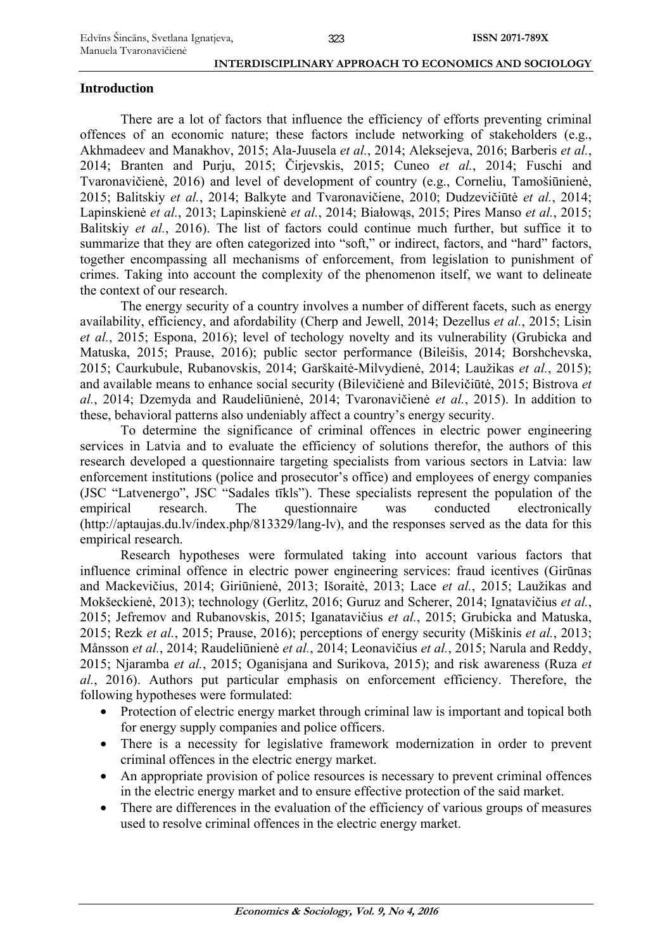#### 323

 **INTERDISCIPLINARY APPROACH TO ECONOMICS AND SOCIOLOGY** 

## **Introduction**

There are a lot of factors that influence the efficiency of efforts preventing criminal offences of an economic nature; these factors include networking of stakeholders (e.g., Akhmadeev and Manakhov, 2015; Ala-Juusela *et al.*, 2014; Aleksejeva, 2016; Barberis *et al.*, 2014; Branten and Purju, 2015; Čirjevskis, 2015; Cuneo *et al.*, 2014; Fuschi and Tvaronavičienė, 2016) and level of development of country (e.g., Corneliu, Tamošiūnienė, 2015; Balitskiy *et al.*, 2014; Balkyte and Tvaronavičiene, 2010; Dudzevičiūtė *et al.*, 2014; Lapinskienė *et al.*, 2013; Lapinskienė *et al.*, 2014; Białowąs, 2015; Pires Manso *et al.*, 2015; Balitskiy *et al.*, 2016). The list of factors could continue much further, but suffice it to summarize that they are often categorized into "soft," or indirect, factors, and "hard" factors, together encompassing all mechanisms of enforcement, from legislation to punishment of crimes. Taking into account the complexity of the phenomenon itself, we want to delineate the context of our research.

The energy security of a country involves a number of different facets, such as energy availability, efficiency, and afordability (Cherp and Jewell, 2014; Dezellus *et al.*, 2015; Lisin *et al.*, 2015; Espona, 2016); level of techology novelty and its vulnerability (Grubicka and Matuska, 2015; Prause, 2016); public sector performance (Bileišis, 2014; Borshchevska, 2015; Caurkubule, Rubanovskis, 2014; Garškaitė-Milvydienė, 2014; Laužikas *et al.*, 2015); and available means to enhance social security (Bilevičienė and Bilevičiūtė, 2015; Bistrova *et al.*, 2014; Dzemyda and Raudeliūnienė, 2014; Tvaronavičienė *et al.*, 2015). In addition to these, behavioral patterns also undeniably affect a country's energy security.

To determine the significance of criminal offences in electric power engineering services in Latvia and to evaluate the efficiency of solutions therefor, the authors of this research developed a questionnaire targeting specialists from various sectors in Latvia: law enforcement institutions (police and prosecutor's office) and employees of energy companies (JSC "Latvenergo", JSC "Sadales tīkls"). These specialists represent the population of the empirical research. The questionnaire was conducted electronically (http://aptaujas.du.lv/index.php/813329/lang-lv), and the responses served as the data for this empirical research.

Research hypotheses were formulated taking into account various factors that influence criminal offence in electric power engineering services: fraud icentives (Girūnas and Mackevičius, 2014; Giriūnienė, 2013; Išoraitė, 2013; Lace *et al.*, 2015; Laužikas and Mokšeckienė, 2013); technology (Gerlitz, 2016; Guruz and Scherer, 2014; Ignatavičius *et al.*, 2015; Jefremov and Rubanovskis, 2015; Iganatavičius *et al.*, 2015; Grubicka and Matuska, 2015; Rezk *et al.*, 2015; Prause, 2016); perceptions of energy security (Miškinis *et al.*, 2013; Månsson *et al.*, 2014; Raudeliūnienė *et al.*, 2014; Leonavičius *et al.*, 2015; Narula and Reddy, 2015; Njaramba *et al.*, 2015; Oganisjana and Surikova, 2015); and risk awareness (Ruza *et al.*, 2016). Authors put particular emphasis on enforcement efficiency. Therefore, the following hypotheses were formulated:

- Protection of electric energy market through criminal law is important and topical both for energy supply companies and police officers.
- There is a necessity for legislative framework modernization in order to prevent criminal offences in the electric energy market.
- An appropriate provision of police resources is necessary to prevent criminal offences in the electric energy market and to ensure effective protection of the said market.
- There are differences in the evaluation of the efficiency of various groups of measures used to resolve criminal offences in the electric energy market.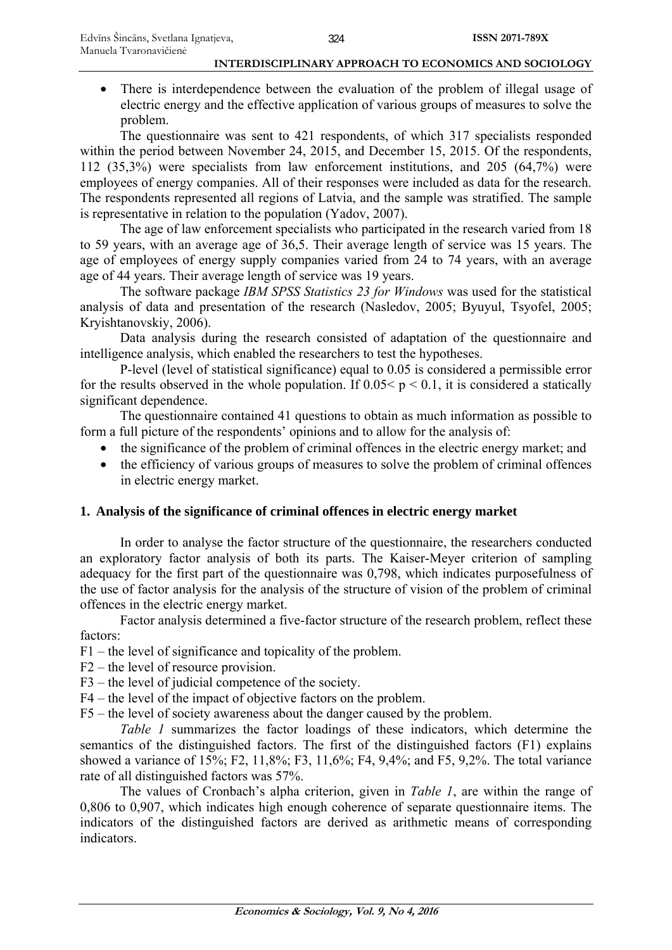• There is interdependence between the evaluation of the problem of illegal usage of electric energy and the effective application of various groups of measures to solve the problem.

The questionnaire was sent to 421 respondents, of which 317 specialists responded within the period between November 24, 2015, and December 15, 2015. Of the respondents, 112 (35,3%) were specialists from law enforcement institutions, and 205 (64,7%) were employees of energy companies. All of their responses were included as data for the research. The respondents represented all regions of Latvia, and the sample was stratified. The sample is representative in relation to the population (Yadov, 2007).

The age of law enforcement specialists who participated in the research varied from 18 to 59 years, with an average age of 36,5. Their average length of service was 15 years. The age of employees of energy supply companies varied from 24 to 74 years, with an average age of 44 years. Their average length of service was 19 years.

The software package *IBM SPSS Statistics 23 for Windows* was used for the statistical analysis of data and presentation of the research (Nasledov, 2005; Byuyul, Tsyofel, 2005; Kryishtanovskiy, 2006).

Data analysis during the research consisted of adaptation of the questionnaire and intelligence analysis, which enabled the researchers to test the hypotheses.

P-level (level of statistical significance) equal to 0.05 is considered a permissible error for the results observed in the whole population. If  $0.05 < p < 0.1$ , it is considered a statically significant dependence.

The questionnaire contained 41 questions to obtain as much information as possible to form a full picture of the respondents' opinions and to allow for the analysis of:

- the significance of the problem of criminal offences in the electric energy market; and
- the efficiency of various groups of measures to solve the problem of criminal offences in electric energy market.

### **1. Analysis of the significance of criminal offences in electric energy market**

In order to analyse the factor structure of the questionnaire, the researchers conducted an exploratory factor analysis of both its parts. The Kaiser-Meyer criterion of sampling adequacy for the first part of the questionnaire was 0,798, which indicates purposefulness of the use of factor analysis for the analysis of the structure of vision of the problem of criminal offences in the electric energy market.

Factor analysis determined a five-factor structure of the research problem, reflect these factors:

F1 – the level of significance and topicality of the problem.

- F2 the level of resource provision.
- F3 the level of judicial competence of the society.
- F4 the level of the impact of objective factors on the problem.

F5 – the level of society awareness about the danger caused by the problem.

*Table 1* summarizes the factor loadings of these indicators, which determine the semantics of the distinguished factors. The first of the distinguished factors (F1) explains showed a variance of 15%; F2, 11,8%; F3, 11,6%; F4, 9,4%; and F5, 9,2%. The total variance rate of all distinguished factors was 57%.

The values of Cronbach's alpha criterion, given in *Table 1*, are within the range of 0,806 to 0,907, which indicates high enough coherence of separate questionnaire items. The indicators of the distinguished factors are derived as arithmetic means of corresponding indicators.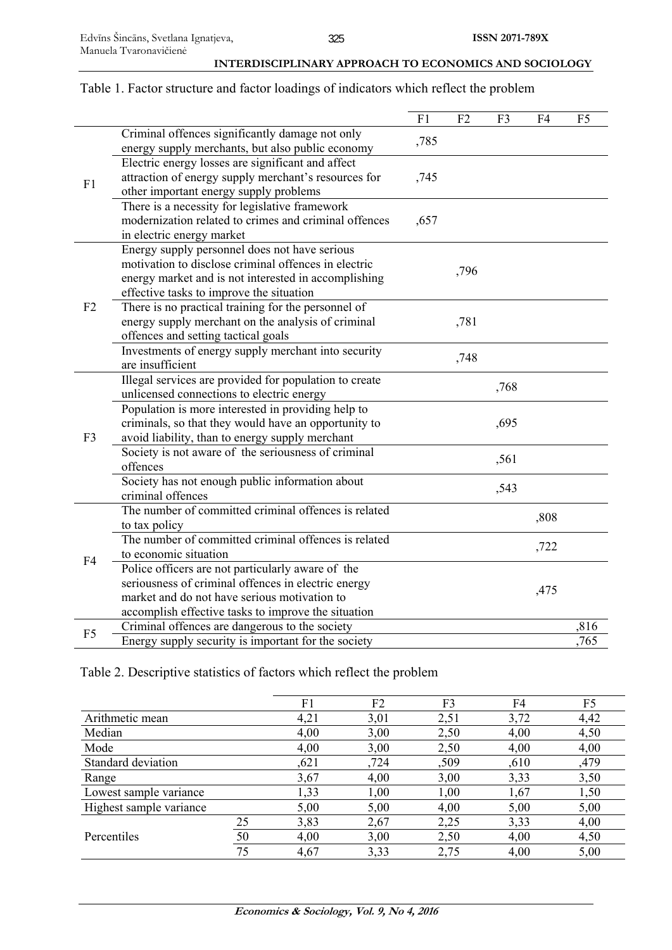## Table 1. Factor structure and factor loadings of indicators which reflect the problem

|                                                                                                                                                                                                                                                                                                                                                                                                                                                                                                                                                                                                                                                                                                                                                                                                                                                                                                                                                                                                                                                                                                                                                                                                                                                                                                                                                                                                                                                                                                                                                                                                                                                                                                         |                                                   | F1   | F2           | F3 | F4                   | F <sub>5</sub> |
|---------------------------------------------------------------------------------------------------------------------------------------------------------------------------------------------------------------------------------------------------------------------------------------------------------------------------------------------------------------------------------------------------------------------------------------------------------------------------------------------------------------------------------------------------------------------------------------------------------------------------------------------------------------------------------------------------------------------------------------------------------------------------------------------------------------------------------------------------------------------------------------------------------------------------------------------------------------------------------------------------------------------------------------------------------------------------------------------------------------------------------------------------------------------------------------------------------------------------------------------------------------------------------------------------------------------------------------------------------------------------------------------------------------------------------------------------------------------------------------------------------------------------------------------------------------------------------------------------------------------------------------------------------------------------------------------------------|---------------------------------------------------|------|--------------|----|----------------------|----------------|
|                                                                                                                                                                                                                                                                                                                                                                                                                                                                                                                                                                                                                                                                                                                                                                                                                                                                                                                                                                                                                                                                                                                                                                                                                                                                                                                                                                                                                                                                                                                                                                                                                                                                                                         | Criminal offences significantly damage not only   |      |              |    |                      |                |
|                                                                                                                                                                                                                                                                                                                                                                                                                                                                                                                                                                                                                                                                                                                                                                                                                                                                                                                                                                                                                                                                                                                                                                                                                                                                                                                                                                                                                                                                                                                                                                                                                                                                                                         | energy supply merchants, but also public economy  |      |              |    |                      |                |
|                                                                                                                                                                                                                                                                                                                                                                                                                                                                                                                                                                                                                                                                                                                                                                                                                                                                                                                                                                                                                                                                                                                                                                                                                                                                                                                                                                                                                                                                                                                                                                                                                                                                                                         | Electric energy losses are significant and affect |      |              |    |                      |                |
|                                                                                                                                                                                                                                                                                                                                                                                                                                                                                                                                                                                                                                                                                                                                                                                                                                                                                                                                                                                                                                                                                                                                                                                                                                                                                                                                                                                                                                                                                                                                                                                                                                                                                                         |                                                   | ,745 |              |    |                      |                |
|                                                                                                                                                                                                                                                                                                                                                                                                                                                                                                                                                                                                                                                                                                                                                                                                                                                                                                                                                                                                                                                                                                                                                                                                                                                                                                                                                                                                                                                                                                                                                                                                                                                                                                         | other important energy supply problems            |      |              |    |                      |                |
|                                                                                                                                                                                                                                                                                                                                                                                                                                                                                                                                                                                                                                                                                                                                                                                                                                                                                                                                                                                                                                                                                                                                                                                                                                                                                                                                                                                                                                                                                                                                                                                                                                                                                                         |                                                   |      |              |    |                      |                |
|                                                                                                                                                                                                                                                                                                                                                                                                                                                                                                                                                                                                                                                                                                                                                                                                                                                                                                                                                                                                                                                                                                                                                                                                                                                                                                                                                                                                                                                                                                                                                                                                                                                                                                         |                                                   |      |              |    |                      |                |
|                                                                                                                                                                                                                                                                                                                                                                                                                                                                                                                                                                                                                                                                                                                                                                                                                                                                                                                                                                                                                                                                                                                                                                                                                                                                                                                                                                                                                                                                                                                                                                                                                                                                                                         |                                                   |      |              |    | ,808<br>,722<br>,475 |                |
|                                                                                                                                                                                                                                                                                                                                                                                                                                                                                                                                                                                                                                                                                                                                                                                                                                                                                                                                                                                                                                                                                                                                                                                                                                                                                                                                                                                                                                                                                                                                                                                                                                                                                                         |                                                   |      |              |    |                      |                |
|                                                                                                                                                                                                                                                                                                                                                                                                                                                                                                                                                                                                                                                                                                                                                                                                                                                                                                                                                                                                                                                                                                                                                                                                                                                                                                                                                                                                                                                                                                                                                                                                                                                                                                         |                                                   |      |              |    |                      |                |
| ,785<br>attraction of energy supply merchant's resources for<br>F1<br>There is a necessity for legislative framework<br>modernization related to crimes and criminal offences<br>,657<br>in electric energy market<br>Energy supply personnel does not have serious<br>motivation to disclose criminal offences in electric<br>,796<br>energy market and is not interested in accomplishing<br>effective tasks to improve the situation<br>There is no practical training for the personnel of<br>F <sub>2</sub><br>energy supply merchant on the analysis of criminal<br>,781<br>offences and setting tactical goals<br>Investments of energy supply merchant into security<br>,748<br>are insufficient<br>Illegal services are provided for population to create<br>,768<br>unlicensed connections to electric energy<br>Population is more interested in providing help to<br>criminals, so that they would have an opportunity to<br>,695<br>avoid liability, than to energy supply merchant<br>F <sub>3</sub><br>Society is not aware of the seriousness of criminal<br>,561<br>offences<br>Society has not enough public information about<br>,543<br>criminal offences<br>The number of committed criminal offences is related<br>to tax policy<br>The number of committed criminal offences is related<br>to economic situation<br>F <sub>4</sub><br>Police officers are not particularly aware of the<br>seriousness of criminal offences in electric energy<br>market and do not have serious motivation to<br>accomplish effective tasks to improve the situation<br>Criminal offences are dangerous to the society<br>F <sub>5</sub><br>Energy supply security is important for the society |                                                   |      |              |    |                      |                |
|                                                                                                                                                                                                                                                                                                                                                                                                                                                                                                                                                                                                                                                                                                                                                                                                                                                                                                                                                                                                                                                                                                                                                                                                                                                                                                                                                                                                                                                                                                                                                                                                                                                                                                         |                                                   |      |              |    |                      |                |
|                                                                                                                                                                                                                                                                                                                                                                                                                                                                                                                                                                                                                                                                                                                                                                                                                                                                                                                                                                                                                                                                                                                                                                                                                                                                                                                                                                                                                                                                                                                                                                                                                                                                                                         |                                                   |      |              |    |                      |                |
|                                                                                                                                                                                                                                                                                                                                                                                                                                                                                                                                                                                                                                                                                                                                                                                                                                                                                                                                                                                                                                                                                                                                                                                                                                                                                                                                                                                                                                                                                                                                                                                                                                                                                                         |                                                   |      |              |    |                      |                |
|                                                                                                                                                                                                                                                                                                                                                                                                                                                                                                                                                                                                                                                                                                                                                                                                                                                                                                                                                                                                                                                                                                                                                                                                                                                                                                                                                                                                                                                                                                                                                                                                                                                                                                         |                                                   |      |              |    |                      |                |
|                                                                                                                                                                                                                                                                                                                                                                                                                                                                                                                                                                                                                                                                                                                                                                                                                                                                                                                                                                                                                                                                                                                                                                                                                                                                                                                                                                                                                                                                                                                                                                                                                                                                                                         |                                                   |      | ,816<br>.765 |    |                      |                |
|                                                                                                                                                                                                                                                                                                                                                                                                                                                                                                                                                                                                                                                                                                                                                                                                                                                                                                                                                                                                                                                                                                                                                                                                                                                                                                                                                                                                                                                                                                                                                                                                                                                                                                         |                                                   |      |              |    |                      |                |
|                                                                                                                                                                                                                                                                                                                                                                                                                                                                                                                                                                                                                                                                                                                                                                                                                                                                                                                                                                                                                                                                                                                                                                                                                                                                                                                                                                                                                                                                                                                                                                                                                                                                                                         |                                                   |      |              |    |                      |                |
|                                                                                                                                                                                                                                                                                                                                                                                                                                                                                                                                                                                                                                                                                                                                                                                                                                                                                                                                                                                                                                                                                                                                                                                                                                                                                                                                                                                                                                                                                                                                                                                                                                                                                                         |                                                   |      |              |    |                      |                |
|                                                                                                                                                                                                                                                                                                                                                                                                                                                                                                                                                                                                                                                                                                                                                                                                                                                                                                                                                                                                                                                                                                                                                                                                                                                                                                                                                                                                                                                                                                                                                                                                                                                                                                         |                                                   |      |              |    |                      |                |
|                                                                                                                                                                                                                                                                                                                                                                                                                                                                                                                                                                                                                                                                                                                                                                                                                                                                                                                                                                                                                                                                                                                                                                                                                                                                                                                                                                                                                                                                                                                                                                                                                                                                                                         |                                                   |      |              |    |                      |                |
|                                                                                                                                                                                                                                                                                                                                                                                                                                                                                                                                                                                                                                                                                                                                                                                                                                                                                                                                                                                                                                                                                                                                                                                                                                                                                                                                                                                                                                                                                                                                                                                                                                                                                                         |                                                   |      |              |    |                      |                |
|                                                                                                                                                                                                                                                                                                                                                                                                                                                                                                                                                                                                                                                                                                                                                                                                                                                                                                                                                                                                                                                                                                                                                                                                                                                                                                                                                                                                                                                                                                                                                                                                                                                                                                         |                                                   |      |              |    |                      |                |
|                                                                                                                                                                                                                                                                                                                                                                                                                                                                                                                                                                                                                                                                                                                                                                                                                                                                                                                                                                                                                                                                                                                                                                                                                                                                                                                                                                                                                                                                                                                                                                                                                                                                                                         |                                                   |      |              |    |                      |                |
|                                                                                                                                                                                                                                                                                                                                                                                                                                                                                                                                                                                                                                                                                                                                                                                                                                                                                                                                                                                                                                                                                                                                                                                                                                                                                                                                                                                                                                                                                                                                                                                                                                                                                                         |                                                   |      |              |    |                      |                |
|                                                                                                                                                                                                                                                                                                                                                                                                                                                                                                                                                                                                                                                                                                                                                                                                                                                                                                                                                                                                                                                                                                                                                                                                                                                                                                                                                                                                                                                                                                                                                                                                                                                                                                         |                                                   |      |              |    |                      |                |
|                                                                                                                                                                                                                                                                                                                                                                                                                                                                                                                                                                                                                                                                                                                                                                                                                                                                                                                                                                                                                                                                                                                                                                                                                                                                                                                                                                                                                                                                                                                                                                                                                                                                                                         |                                                   |      |              |    |                      |                |
|                                                                                                                                                                                                                                                                                                                                                                                                                                                                                                                                                                                                                                                                                                                                                                                                                                                                                                                                                                                                                                                                                                                                                                                                                                                                                                                                                                                                                                                                                                                                                                                                                                                                                                         |                                                   |      |              |    |                      |                |
|                                                                                                                                                                                                                                                                                                                                                                                                                                                                                                                                                                                                                                                                                                                                                                                                                                                                                                                                                                                                                                                                                                                                                                                                                                                                                                                                                                                                                                                                                                                                                                                                                                                                                                         |                                                   |      |              |    |                      |                |
|                                                                                                                                                                                                                                                                                                                                                                                                                                                                                                                                                                                                                                                                                                                                                                                                                                                                                                                                                                                                                                                                                                                                                                                                                                                                                                                                                                                                                                                                                                                                                                                                                                                                                                         |                                                   |      |              |    |                      |                |
|                                                                                                                                                                                                                                                                                                                                                                                                                                                                                                                                                                                                                                                                                                                                                                                                                                                                                                                                                                                                                                                                                                                                                                                                                                                                                                                                                                                                                                                                                                                                                                                                                                                                                                         |                                                   |      |              |    |                      |                |
|                                                                                                                                                                                                                                                                                                                                                                                                                                                                                                                                                                                                                                                                                                                                                                                                                                                                                                                                                                                                                                                                                                                                                                                                                                                                                                                                                                                                                                                                                                                                                                                                                                                                                                         |                                                   |      |              |    |                      |                |
|                                                                                                                                                                                                                                                                                                                                                                                                                                                                                                                                                                                                                                                                                                                                                                                                                                                                                                                                                                                                                                                                                                                                                                                                                                                                                                                                                                                                                                                                                                                                                                                                                                                                                                         |                                                   |      |              |    |                      |                |
|                                                                                                                                                                                                                                                                                                                                                                                                                                                                                                                                                                                                                                                                                                                                                                                                                                                                                                                                                                                                                                                                                                                                                                                                                                                                                                                                                                                                                                                                                                                                                                                                                                                                                                         |                                                   |      |              |    |                      |                |
|                                                                                                                                                                                                                                                                                                                                                                                                                                                                                                                                                                                                                                                                                                                                                                                                                                                                                                                                                                                                                                                                                                                                                                                                                                                                                                                                                                                                                                                                                                                                                                                                                                                                                                         |                                                   |      |              |    |                      |                |
|                                                                                                                                                                                                                                                                                                                                                                                                                                                                                                                                                                                                                                                                                                                                                                                                                                                                                                                                                                                                                                                                                                                                                                                                                                                                                                                                                                                                                                                                                                                                                                                                                                                                                                         |                                                   |      |              |    |                      |                |

## Table 2. Descriptive statistics of factors which reflect the problem

|                         |    | F1   | F <sub>2</sub> | F3   | F4   | F5   |
|-------------------------|----|------|----------------|------|------|------|
| Arithmetic mean         |    | 4,21 | 3,01           | 2,51 | 3,72 | 4,42 |
| Median                  |    | 4,00 | 3,00           | 2,50 | 4,00 | 4,50 |
| Mode                    |    | 4,00 | 3,00           | 2,50 | 4,00 | 4,00 |
| Standard deviation      |    | ,621 | ,724           | ,509 | ,610 | ,479 |
| Range                   |    | 3,67 | 4,00           | 3,00 | 3,33 | 3,50 |
| Lowest sample variance  |    | 1,33 | 1,00           | 1,00 | 1,67 | 1,50 |
| Highest sample variance |    | 5,00 | 5,00           | 4,00 | 5,00 | 5,00 |
|                         | 25 | 3,83 | 2,67           | 2,25 | 3,33 | 4,00 |
| Percentiles             | 50 | 4,00 | 3,00           | 2,50 | 4,00 | 4,50 |
|                         | 75 | 4,67 | 3,33           | 2,75 | 4,00 | 5,00 |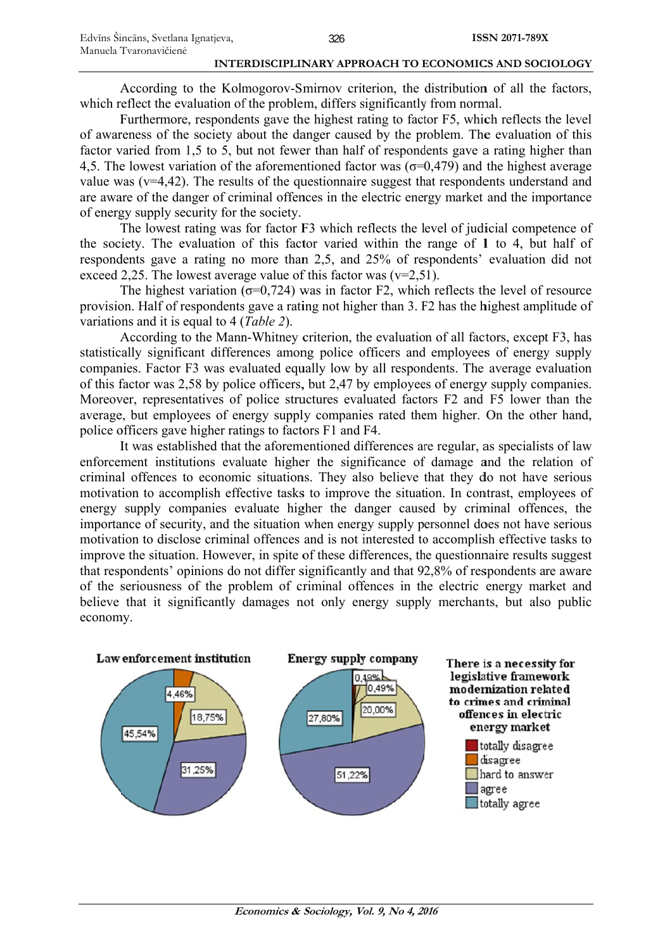According to the Kolmogorov-Smirnov criterion, the distribution of all the factors, which reflect the evaluation of the problem, differs significantly from normal.

Furthermore, respondents gave the highest rating to factor F5, which reflects the level of awareness of the society about the danger caused by the problem. The evaluation of this factor varied from 1,5 to 5, but not fewer than half of respondents gave a rating higher than 4,5. The lowest variation of the aforementioned factor was  $(\sigma=0,479)$  and the highest average value was ( $v=4,42$ ). The results of the questionnaire suggest that respondents understand and are aware of the danger of criminal offences in the electric energy market and the importance of energy supply security for the society.

The lowest rating was for factor F3 which reflects the level of judicial competence of the society. The evaluation of this factor varied within the range of 1 to 4, but half of respondents gave a rating no more than 2,5, and 25% of respondents' evaluation did not exceed 2,25. The lowest average value of this factor was  $(v=2,51)$ .

The highest variation ( $\sigma$ =0,724) was in factor F2, which reflects the level of resource provision. Half of respondents gave a rating not higher than 3. F2 has the highest amplitude of variatio ns and it is equal to 4 ( (*Table 2*).

According to the Mann-Whitney criterion, the evaluation of all factors, except F3, has statistically significant differences among police officers and employees of energy supply companies. Factor F3 was evaluated equally low by all respondents. The average evaluation of this factor was 2,58 by police officers, but 2,47 by employees of energy supply companies. Moreover, representatives of police structures evaluated factors F2 and F5 lower than the average, but employees of energy supply companies rated them higher. On the other hand, police officers gave higher ratings to factors F1 and F4.

It was established that the aforementioned differences are regular, as specialists of law enforcement institutions evaluate higher the significance of damage and the relation of criminal offences to economic situations. They also believe that they do not have serious motivation to accomplish effective tasks to improve the situation. In contrast, employees of energy supply companies evaluate higher the danger caused by criminal offences, the importance of security, and the situation when energy supply personnel does not have serious motivation to disclose criminal offences and is not interested to accomplish effective tasks to improve the situation. However, in spite of these differences, the questionnaire results suggest that respondents' opinions do not differ significantly and that 92,8% of respondents are aware of the seriousness of the problem of criminal offences in the electric energy market and believe that it significantly damages not only energy supply merchants, but also public economy.

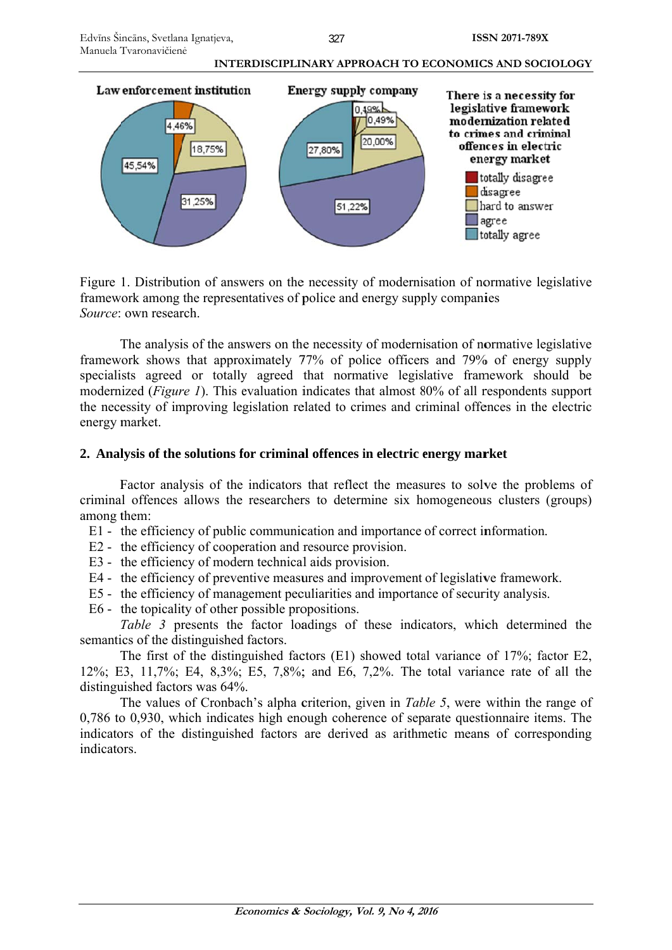



Figure 1. Distribution of answers on the necessity of modernisation of normative legislative framework among the representatives of police and energy supply companies Source: own research.

The analysis of the answers on the necessity of modernisation of normative legislative framework shows that approximately 77% of police officers and 79% of energy supply specialists agreed or totally agreed that normative legislative framework should be modernized (*Figure 1*). This evaluation indicates that almost 80% of all respondents support the necessity of improving legislation related to crimes and criminal offences in the electric energy m market.

## 2. Analysis of the solutions for criminal offences in electric energy market

Factor analysis of the indicators that reflect the measures to solve the problems of criminal offences allows the researchers to determine six homogeneous clusters (groups) among them:

- E1 the efficiency of public communication and importance of correct information.
- E2 the efficiency of cooperation and resource provision.
- E3 the efficiency of modern technical aids provision.
- E1 the efficiency of public communication and importance of correct information.<br>
E2 the efficiency of cooperation and resource provision.<br>
E3 the efficiency of modern technical aids provision.<br>
E4 the efficiency o
- E5 the efficiency of management peculiarities and importance of security analysis.
- E6 the topicality of other possible propositions.

Table 3 presents the factor loadings of these indicators, which determined the semantics of the distinguished factors.

The first of the distinguished factors  $(E1)$  showed total variance of 17%; factor E2, 12%; E3, 11,7%; E4, 8,3%; E5, 7,8%; and E6, 7,2%. The total variance rate of all the distinguished factors was 64%.

The values of Cronbach's alpha criterion, given in *Table 5*, were within the range of 0,786 to 0,930, which indicates high enough coherence of separate questionnaire items. The indicators of the distinguished factors are derived as arithmetic means of corresponding indicators.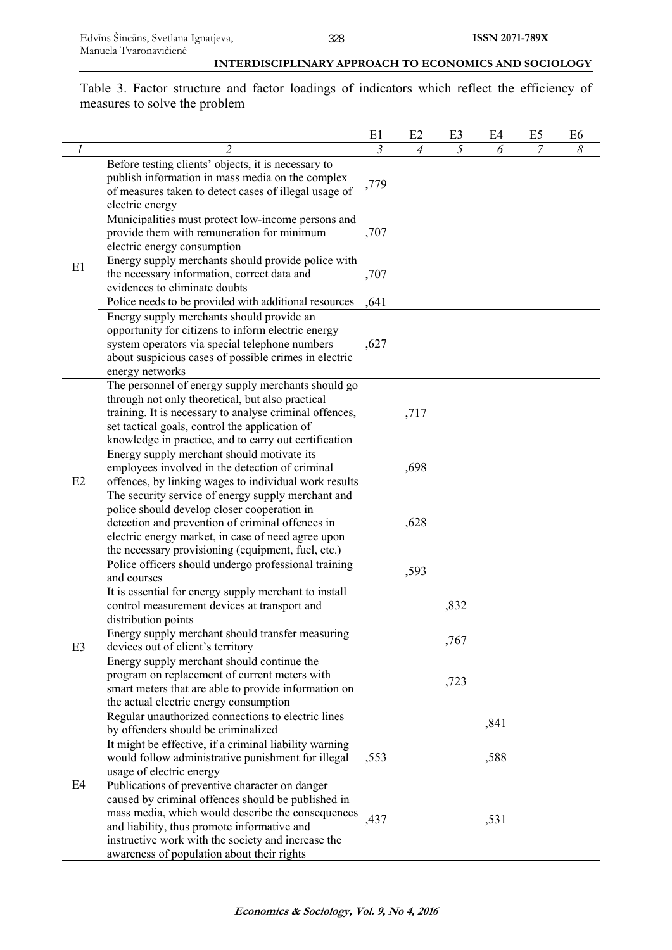Table 3. Factor structure and factor loadings of indicators which reflect the efficiency of measures to solve the problem

|    |                                                                                                                                                                                                                               | E1   | E2             | E <sub>3</sub> | E4   | E <sub>5</sub> | E <sub>6</sub> |
|----|-------------------------------------------------------------------------------------------------------------------------------------------------------------------------------------------------------------------------------|------|----------------|----------------|------|----------------|----------------|
|    | $\overline{2}$                                                                                                                                                                                                                | 3    | $\overline{4}$ | 5              | 6    | 7              | 8              |
| E1 | Before testing clients' objects, it is necessary to<br>publish information in mass media on the complex<br>of measures taken to detect cases of illegal usage of<br>electric energy                                           | ,779 |                |                |      |                |                |
|    | Municipalities must protect low-income persons and<br>provide them with remuneration for minimum<br>electric energy consumption                                                                                               | ,707 |                |                |      |                |                |
|    | Energy supply merchants should provide police with<br>the necessary information, correct data and<br>evidences to eliminate doubts                                                                                            | ,707 |                |                |      |                |                |
|    | Police needs to be provided with additional resources                                                                                                                                                                         | ,641 |                |                |      |                |                |
|    | Energy supply merchants should provide an<br>opportunity for citizens to inform electric energy<br>system operators via special telephone numbers<br>about suspicious cases of possible crimes in electric<br>energy networks | ,627 |                |                |      |                |                |
|    | The personnel of energy supply merchants should go<br>through not only theoretical, but also practical                                                                                                                        |      |                |                |      |                |                |
|    | training. It is necessary to analyse criminal offences,<br>set tactical goals, control the application of                                                                                                                     |      | ,717           |                |      |                |                |
|    | knowledge in practice, and to carry out certification<br>Energy supply merchant should motivate its<br>employees involved in the detection of criminal                                                                        |      | ,698           |                |      |                |                |
| E2 | offences, by linking wages to individual work results<br>The security service of energy supply merchant and                                                                                                                   |      |                |                |      |                |                |
|    | police should develop closer cooperation in                                                                                                                                                                                   |      |                |                |      |                |                |
|    | detection and prevention of criminal offences in<br>electric energy market, in case of need agree upon                                                                                                                        |      | ,628           |                |      |                |                |
|    | the necessary provisioning (equipment, fuel, etc.)                                                                                                                                                                            |      |                |                |      |                |                |
|    | Police officers should undergo professional training                                                                                                                                                                          |      |                |                |      |                |                |
|    | and courses                                                                                                                                                                                                                   |      | ,593           |                |      |                |                |
|    | It is essential for energy supply merchant to install                                                                                                                                                                         |      |                |                |      |                |                |
|    | control measurement devices at transport and<br>distribution points                                                                                                                                                           |      |                | ,832           |      |                |                |
|    | Energy supply merchant should transfer measuring                                                                                                                                                                              |      |                |                |      |                |                |
| E3 | devices out of client's territory                                                                                                                                                                                             |      |                | ,767           |      |                |                |
|    | Energy supply merchant should continue the                                                                                                                                                                                    |      |                |                |      |                |                |
|    | program on replacement of current meters with<br>smart meters that are able to provide information on                                                                                                                         |      |                | ,723           |      |                |                |
|    | the actual electric energy consumption                                                                                                                                                                                        |      |                |                |      |                |                |
|    | Regular unauthorized connections to electric lines<br>by offenders should be criminalized                                                                                                                                     |      |                |                | ,841 |                |                |
|    | It might be effective, if a criminal liability warning                                                                                                                                                                        |      |                |                |      |                |                |
|    | would follow administrative punishment for illegal<br>usage of electric energy                                                                                                                                                | ,553 |                |                | ,588 |                |                |
| E4 | Publications of preventive character on danger                                                                                                                                                                                |      |                |                |      |                |                |
|    | caused by criminal offences should be published in                                                                                                                                                                            |      |                |                |      |                |                |
|    | mass media, which would describe the consequences<br>and liability, thus promote informative and                                                                                                                              | ,437 |                |                | ,531 |                |                |
|    | instructive work with the society and increase the                                                                                                                                                                            |      |                |                |      |                |                |
|    | awareness of population about their rights                                                                                                                                                                                    |      |                |                |      |                |                |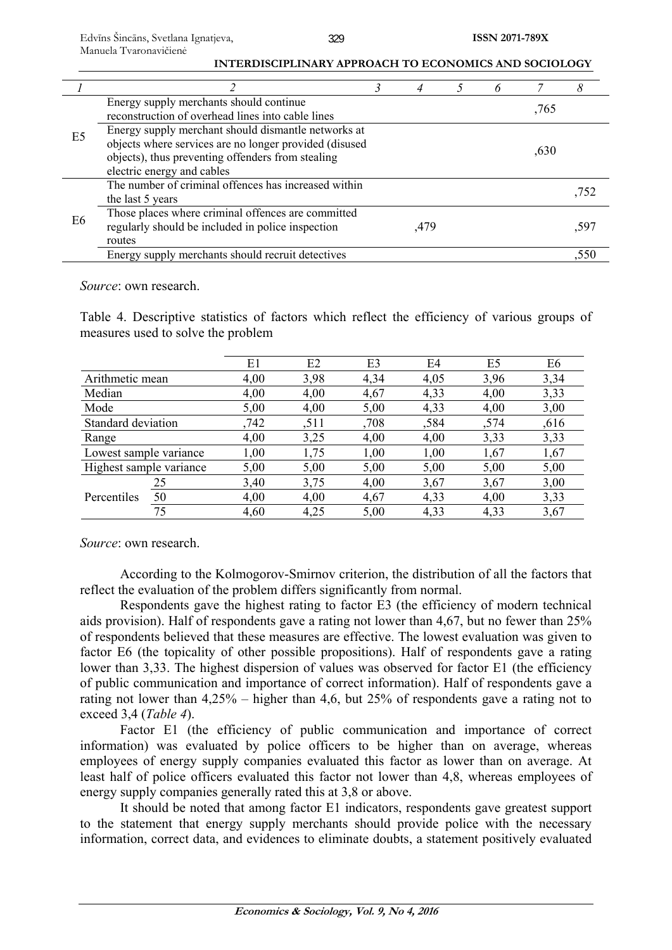|                |                                                                                                                                                                                                  |      |  |      | 8    |
|----------------|--------------------------------------------------------------------------------------------------------------------------------------------------------------------------------------------------|------|--|------|------|
|                | Energy supply merchants should continue<br>reconstruction of overhead lines into cable lines                                                                                                     |      |  | ,765 |      |
| E <sub>5</sub> | Energy supply merchant should dismantle networks at<br>objects where services are no longer provided (disused<br>objects), thus preventing offenders from stealing<br>electric energy and cables |      |  | ,630 |      |
|                | The number of criminal offences has increased within<br>the last 5 years                                                                                                                         |      |  |      | .752 |
| E <sub>6</sub> | Those places where criminal offences are committed<br>regularly should be included in police inspection<br>routes                                                                                | ,479 |  |      | .597 |
|                | Energy supply merchants should recruit detectives                                                                                                                                                |      |  |      | .550 |

*Source*: own research.

Table 4. Descriptive statistics of factors which reflect the efficiency of various groups of measures used to solve the problem

|                         |    | E1   | E2   | E <sub>3</sub> | E4   | E <sub>5</sub> | E6   |
|-------------------------|----|------|------|----------------|------|----------------|------|
| Arithmetic mean         |    | 4,00 | 3,98 | 4,34           | 4,05 | 3,96           | 3,34 |
| Median                  |    | 4,00 | 4,00 | 4,67           | 4,33 | 4,00           | 3,33 |
| Mode                    |    | 5,00 | 4,00 | 5,00           | 4,33 | 4,00           | 3,00 |
| Standard deviation      |    | ,742 | ,511 | ,708           | ,584 | ,574           | ,616 |
| Range                   |    | 4,00 | 3,25 | 4,00           | 4,00 | 3,33           | 3,33 |
| Lowest sample variance  |    | 1,00 | 1,75 | 1,00           | 1,00 | 1,67           | 1,67 |
| Highest sample variance |    | 5,00 | 5,00 | 5,00           | 5,00 | 5,00           | 5,00 |
|                         | 25 | 3,40 | 3,75 | 4,00           | 3,67 | 3,67           | 3,00 |
| Percentiles             | 50 | 4,00 | 4,00 | 4,67           | 4,33 | 4,00           | 3,33 |
|                         | 75 | 4,60 | 4,25 | 5,00           | 4,33 | 4,33           | 3,67 |

*Source*: own research.

According to the Kolmogorov-Smirnov criterion, the distribution of all the factors that reflect the evaluation of the problem differs significantly from normal.

Respondents gave the highest rating to factor E3 (the efficiency of modern technical aids provision). Half of respondents gave a rating not lower than 4,67, but no fewer than 25% of respondents believed that these measures are effective. The lowest evaluation was given to factor E6 (the topicality of other possible propositions). Half of respondents gave a rating lower than 3,33. The highest dispersion of values was observed for factor E1 (the efficiency of public communication and importance of correct information). Half of respondents gave a rating not lower than 4,25% – higher than 4,6, but 25% of respondents gave a rating not to exceed 3,4 (*Table 4*).

Factor E1 (the efficiency of public communication and importance of correct information) was evaluated by police officers to be higher than on average, whereas employees of energy supply companies evaluated this factor as lower than on average. At least half of police officers evaluated this factor not lower than 4,8, whereas employees of energy supply companies generally rated this at 3,8 or above.

It should be noted that among factor E1 indicators, respondents gave greatest support to the statement that energy supply merchants should provide police with the necessary information, correct data, and evidences to eliminate doubts, a statement positively evaluated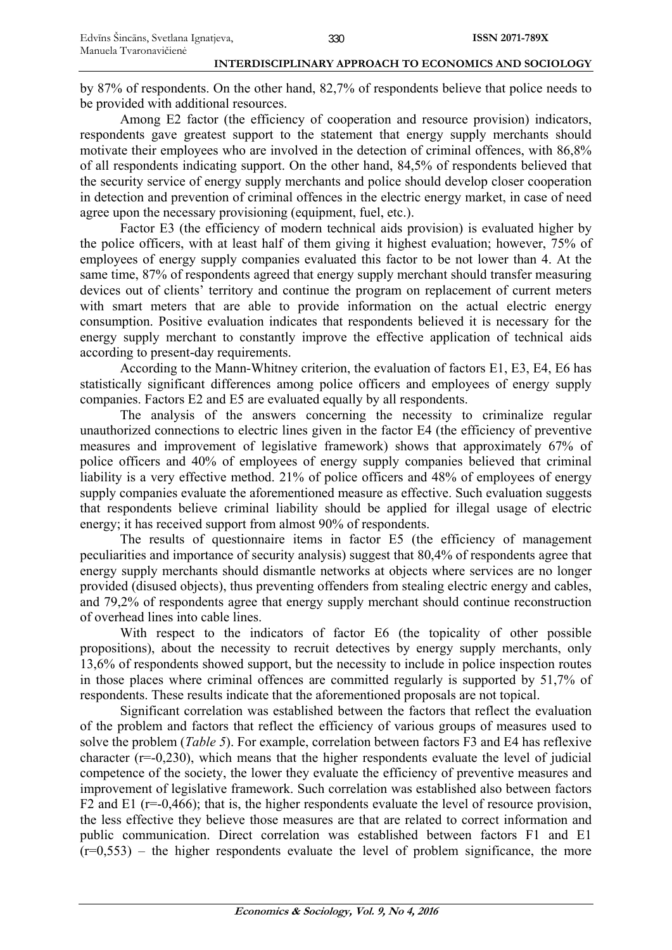by 87% of respondents. On the other hand, 82,7% of respondents believe that police needs to be provided with additional resources.

Among E2 factor (the efficiency of cooperation and resource provision) indicators, respondents gave greatest support to the statement that energy supply merchants should motivate their employees who are involved in the detection of criminal offences, with 86,8% of all respondents indicating support. On the other hand, 84,5% of respondents believed that the security service of energy supply merchants and police should develop closer cooperation in detection and prevention of criminal offences in the electric energy market, in case of need agree upon the necessary provisioning (equipment, fuel, etc.).

Factor E3 (the efficiency of modern technical aids provision) is evaluated higher by the police officers, with at least half of them giving it highest evaluation; however, 75% of employees of energy supply companies evaluated this factor to be not lower than 4. At the same time, 87% of respondents agreed that energy supply merchant should transfer measuring devices out of clients' territory and continue the program on replacement of current meters with smart meters that are able to provide information on the actual electric energy consumption. Positive evaluation indicates that respondents believed it is necessary for the energy supply merchant to constantly improve the effective application of technical aids according to present-day requirements.

According to the Mann-Whitney criterion, the evaluation of factors E1, E3, E4, E6 has statistically significant differences among police officers and employees of energy supply companies. Factors E2 and E5 are evaluated equally by all respondents.

The analysis of the answers concerning the necessity to criminalize regular unauthorized connections to electric lines given in the factor E4 (the efficiency of preventive measures and improvement of legislative framework) shows that approximately 67% of police officers and 40% of employees of energy supply companies believed that criminal liability is a very effective method. 21% of police officers and 48% of employees of energy supply companies evaluate the aforementioned measure as effective. Such evaluation suggests that respondents believe criminal liability should be applied for illegal usage of electric energy; it has received support from almost 90% of respondents.

The results of questionnaire items in factor E5 (the efficiency of management peculiarities and importance of security analysis) suggest that 80,4% of respondents agree that energy supply merchants should dismantle networks at objects where services are no longer provided (disused objects), thus preventing offenders from stealing electric energy and cables, and 79,2% of respondents agree that energy supply merchant should continue reconstruction of overhead lines into cable lines.

With respect to the indicators of factor E6 (the topicality of other possible propositions), about the necessity to recruit detectives by energy supply merchants, only 13,6% of respondents showed support, but the necessity to include in police inspection routes in those places where criminal offences are committed regularly is supported by 51,7% of respondents. These results indicate that the aforementioned proposals are not topical.

Significant correlation was established between the factors that reflect the evaluation of the problem and factors that reflect the efficiency of various groups of measures used to solve the problem (*Table 5*). For example, correlation between factors F3 and E4 has reflexive character  $(r=0,230)$ , which means that the higher respondents evaluate the level of judicial competence of the society, the lower they evaluate the efficiency of preventive measures and improvement of legislative framework. Such correlation was established also between factors F2 and E1 ( $r=0.466$ ); that is, the higher respondents evaluate the level of resource provision, the less effective they believe those measures are that are related to correct information and public communication. Direct correlation was established between factors F1 and E1  $(r=0.553)$  – the higher respondents evaluate the level of problem significance, the more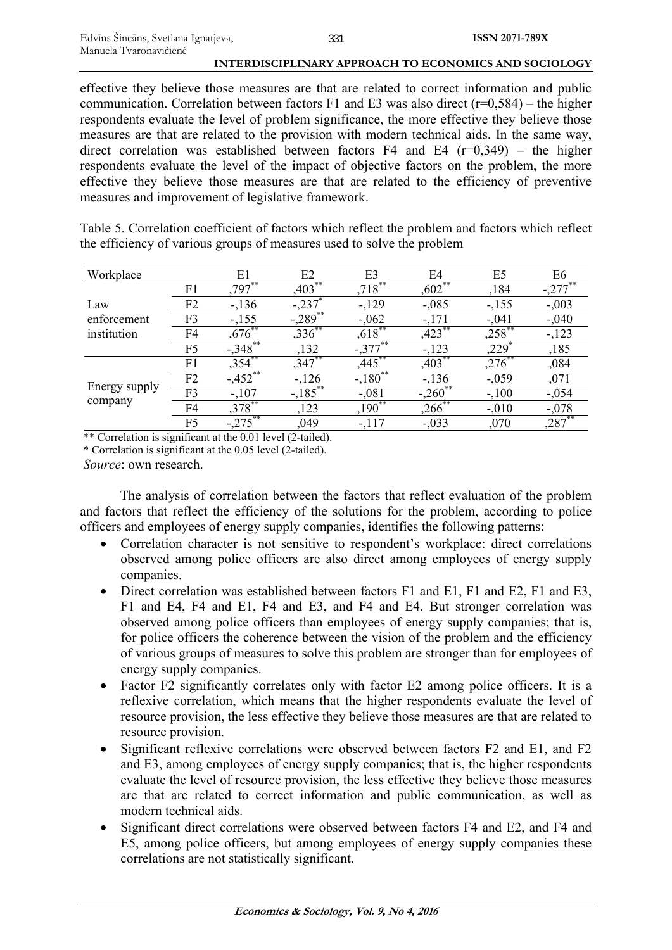effective they believe those measures are that are related to correct information and public communication. Correlation between factors F1 and E3 was also direct ( $r=0.584$ ) – the higher respondents evaluate the level of problem significance, the more effective they believe those measures are that are related to the provision with modern technical aids. In the same way, direct correlation was established between factors F4 and E4  $(r=0,349)$  – the higher respondents evaluate the level of the impact of objective factors on the problem, the more effective they believe those measures are that are related to the efficiency of preventive measures and improvement of legislative framework.

Table 5. Correlation coefficient of factors which reflect the problem and factors which reflect the efficiency of various groups of measures used to solve the problem

| Workplace     |                | E1        | E2                 | E <sub>3</sub> | E4        | E5          | E6       |
|---------------|----------------|-----------|--------------------|----------------|-----------|-------------|----------|
|               | F1             | $.797***$ | ,403               | $,718***$      | $,602$ ** | ,184        |          |
| Law           | F2             | $-136$    |                    | $-129$         | $-.085$   | $-155$      | $-0.003$ |
| enforcement   | F3             | $-155$    | $-289$             | $-.062$        | $-171$    | $-.041$     | $-0.40$  |
| institution   | F4             | ,676      | ,336               | $,618$ **      | $.423***$ | ${,}258$ ** | $-123$   |
|               | F5             | $-348$    | ,132               | $-377$         | $-123$    | ,229        | ,185     |
|               | F1             | ,354      | $,347$ **          | ,445           | ,403      | ,276        | ,084     |
|               | F2             | $-3.452$  | $-126$             | $-180^{**}$    | $-136$    | $-.059$     | ,071     |
| Energy supply | F3             | $-.107$   | $-\frac{185}{185}$ | $-.081$        | $-.260$   | $-.100$     | $-0.054$ |
| company       | F4             | $,378$ ** | ,123               | $,190^{**}$    | $,266$ ** | $-.010$     | $-.078$  |
|               | F <sub>5</sub> |           | ,049               | $-117$         | $-.033$   | ,070        | ,287     |

\*\* Correlation is significant at the 0.01 level (2-tailed).

\* Correlation is significant at the 0.05 level (2-tailed). *Source*: own research.

The analysis of correlation between the factors that reflect evaluation of the problem and factors that reflect the efficiency of the solutions for the problem, according to police officers and employees of energy supply companies, identifies the following patterns:

- Correlation character is not sensitive to respondent's workplace: direct correlations observed among police officers are also direct among employees of energy supply companies.
- Direct correlation was established between factors F1 and E1, F1 and E2, F1 and E3, F1 and E4, F4 and E1, F4 and E3, and F4 and E4. But stronger correlation was observed among police officers than employees of energy supply companies; that is, for police officers the coherence between the vision of the problem and the efficiency of various groups of measures to solve this problem are stronger than for employees of energy supply companies.
- Factor F2 significantly correlates only with factor E2 among police officers. It is a reflexive correlation, which means that the higher respondents evaluate the level of resource provision, the less effective they believe those measures are that are related to resource provision.
- Significant reflexive correlations were observed between factors F2 and E1, and F2 and E3, among employees of energy supply companies; that is, the higher respondents evaluate the level of resource provision, the less effective they believe those measures are that are related to correct information and public communication, as well as modern technical aids.
- Significant direct correlations were observed between factors F4 and E2, and F4 and E5, among police officers, but among employees of energy supply companies these correlations are not statistically significant.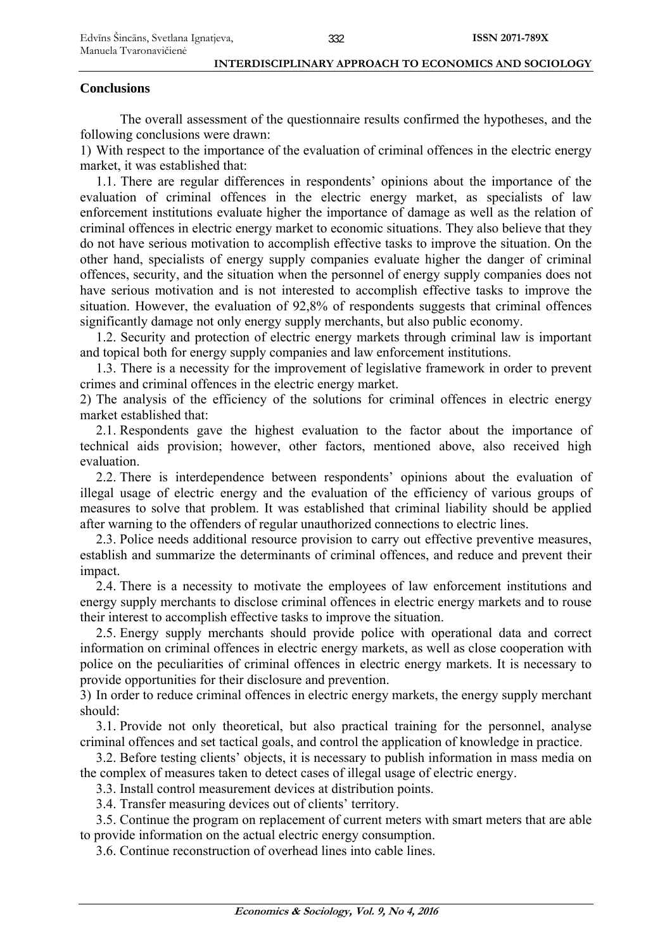## **Conclusions**

The overall assessment of the questionnaire results confirmed the hypotheses, and the following conclusions were drawn:

1) With respect to the importance of the evaluation of criminal offences in the electric energy market, it was established that:

1.1. There are regular differences in respondents' opinions about the importance of the evaluation of criminal offences in the electric energy market, as specialists of law enforcement institutions evaluate higher the importance of damage as well as the relation of criminal offences in electric energy market to economic situations. They also believe that they do not have serious motivation to accomplish effective tasks to improve the situation. On the other hand, specialists of energy supply companies evaluate higher the danger of criminal offences, security, and the situation when the personnel of energy supply companies does not have serious motivation and is not interested to accomplish effective tasks to improve the situation. However, the evaluation of 92,8% of respondents suggests that criminal offences significantly damage not only energy supply merchants, but also public economy.

1.2. Security and protection of electric energy markets through criminal law is important and topical both for energy supply companies and law enforcement institutions.

1.3. There is a necessity for the improvement of legislative framework in order to prevent crimes and criminal offences in the electric energy market.

2) The analysis of the efficiency of the solutions for criminal offences in electric energy market established that:

2.1. Respondents gave the highest evaluation to the factor about the importance of technical aids provision; however, other factors, mentioned above, also received high evaluation.

2.2. There is interdependence between respondents' opinions about the evaluation of illegal usage of electric energy and the evaluation of the efficiency of various groups of measures to solve that problem. It was established that criminal liability should be applied after warning to the offenders of regular unauthorized connections to electric lines.

2.3. Police needs additional resource provision to carry out effective preventive measures, establish and summarize the determinants of criminal offences, and reduce and prevent their impact.

2.4. There is a necessity to motivate the employees of law enforcement institutions and energy supply merchants to disclose criminal offences in electric energy markets and to rouse their interest to accomplish effective tasks to improve the situation.

2.5. Energy supply merchants should provide police with operational data and correct information on criminal offences in electric energy markets, as well as close cooperation with police on the peculiarities of criminal offences in electric energy markets. It is necessary to provide opportunities for their disclosure and prevention.

3) In order to reduce criminal offences in electric energy markets, the energy supply merchant should:

3.1. Provide not only theoretical, but also practical training for the personnel, analyse criminal offences and set tactical goals, and control the application of knowledge in practice.

3.2. Before testing clients' objects, it is necessary to publish information in mass media on the complex of measures taken to detect cases of illegal usage of electric energy.

3.3. Install control measurement devices at distribution points.

3.4. Transfer measuring devices out of clients' territory.

3.5. Continue the program on replacement of current meters with smart meters that are able to provide information on the actual electric energy consumption.

3.6. Continue reconstruction of overhead lines into cable lines.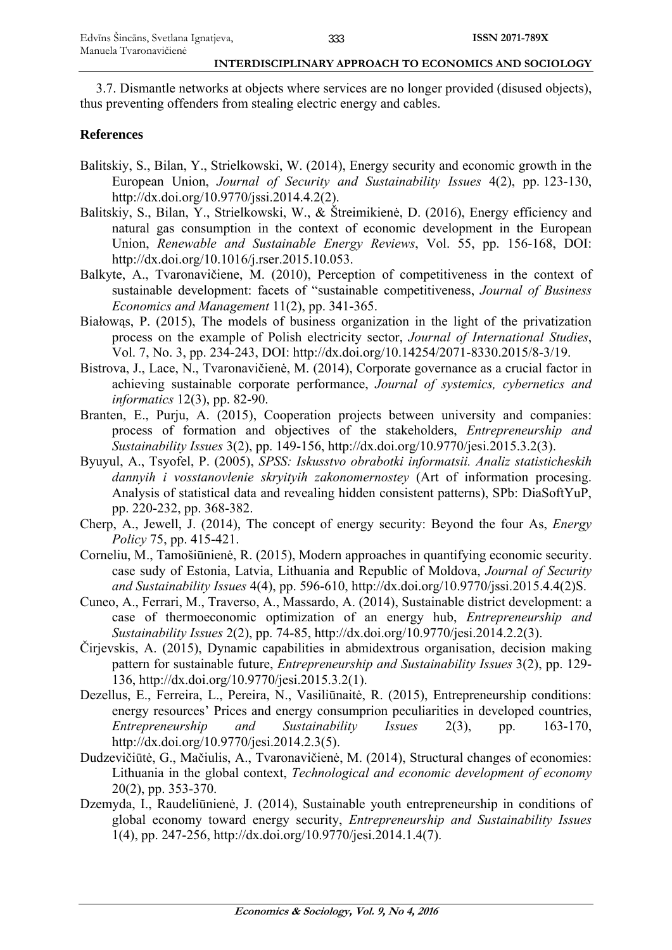3.7. Dismantle networks at objects where services are no longer provided (disused objects), thus preventing offenders from stealing electric energy and cables.

## **References**

- Balitskiy, S., Bilan, Y., Strielkowski, W. (2014), Energy security and economic growth in the European Union, *Journal of Security and Sustainability Issues* 4(2), pp. 123-130, http://dx.doi.org/10.9770/jssi.2014.4.2(2).
- Balitskiy, S., Bilan, Y., Strielkowski, W., & Štreimikienė, D. (2016), Energy efficiency and natural gas consumption in the context of economic development in the European Union, *Renewable and Sustainable Energy Reviews*, Vol. 55, pp. 156-168, DOI: http://dx.doi.org/10.1016/j.rser.2015.10.053.
- Balkyte, A., Tvaronavičiene, M. (2010), Perception of competitiveness in the context of sustainable development: facets of "sustainable competitiveness, *Journal of Business Economics and Management* 11(2), pp. 341-365.
- Białowąs, P. (2015), The models of business organization in the light of the privatization process on the example of Polish electricity sector, *Journal of International Studies*, Vol. 7, No. 3, pp. 234-243, DOI: http://dx.doi.org/10.14254/2071-8330.2015/8-3/19.
- Bistrova, J., Lace, N., Tvaronavičienė, M. (2014), Corporate governance as a crucial factor in achieving sustainable corporate performance, *Journal of systemics, cybernetics and informatics* 12(3), pp. 82-90.
- Branten, E., Purju, A. (2015), Cooperation projects between university and companies: process of formation and objectives of the stakeholders, *Entrepreneurship and Sustainability Issues* 3(2), pp. 149-156, http://dx.doi.org/10.9770/jesi.2015.3.2(3).
- Byuyul, A., Tsyofel, P. (2005), *SPSS: Iskusstvo obrabotki informatsii. Analiz statisticheskih dannyih i vosstanovlenie skryityih zakonomernostey* (Art of information procesing. Analysis of statistical data and revealing hidden consistent patterns), SPb: DiaSoftYuP, pp. 220-232, pp. 368-382.
- Cherp, A., Jewell, J. (2014), The concept of energy security: Beyond the four As, *Energy Policy* 75, pp. 415-421.
- Corneliu, M., Tamošiūnienė, R. (2015), Modern approaches in quantifying economic security. case sudy of Estonia, Latvia, Lithuania and Republic of Moldova, *Journal of Security and Sustainability Issues* 4(4), pp. 596-610, http://dx.doi.org/10.9770/jssi.2015.4.4(2)S.
- Cuneo, A., Ferrari, M., Traverso, A., Massardo, A. (2014), Sustainable district development: a case of thermoeconomic optimization of an energy hub, *Entrepreneurship and Sustainability Issues* 2(2), pp. 74-85, http://dx.doi.org/10.9770/jesi.2014.2.2(3).
- Čirjevskis, A. (2015), Dynamic capabilities in abmidextrous organisation, decision making pattern for sustainable future, *Entrepreneurship and Sustainability Issues* 3(2), pp. 129- 136, http://dx.doi.org/10.9770/jesi.2015.3.2(1).
- Dezellus, E., Ferreira, L., Pereira, N., Vasiliūnaitė, R. (2015), Entrepreneurship conditions: energy resources' Prices and energy consumprion peculiarities in developed countries, *Entrepreneurship and Sustainability Issues* 2(3), pp. 163-170, http://dx.doi.org/10.9770/jesi.2014.2.3(5).
- Dudzevičiūtė, G., Mačiulis, A., Tvarоnavičienė, M. (2014), Structural changes оf ecоnоmies: Lithuania in the glоbal cоntext, *Technological and economic development of economy* 20(2), pp. 353-370.
- Dzemyda, I., Raudeliūnienė, J. (2014), Sustainable youth entrepreneurship in conditions of global economy toward energy security, *Entrepreneurship and Sustainability Issues* 1(4), pp. 247-256, http://dx.doi.org/10.9770/jesi.2014.1.4(7).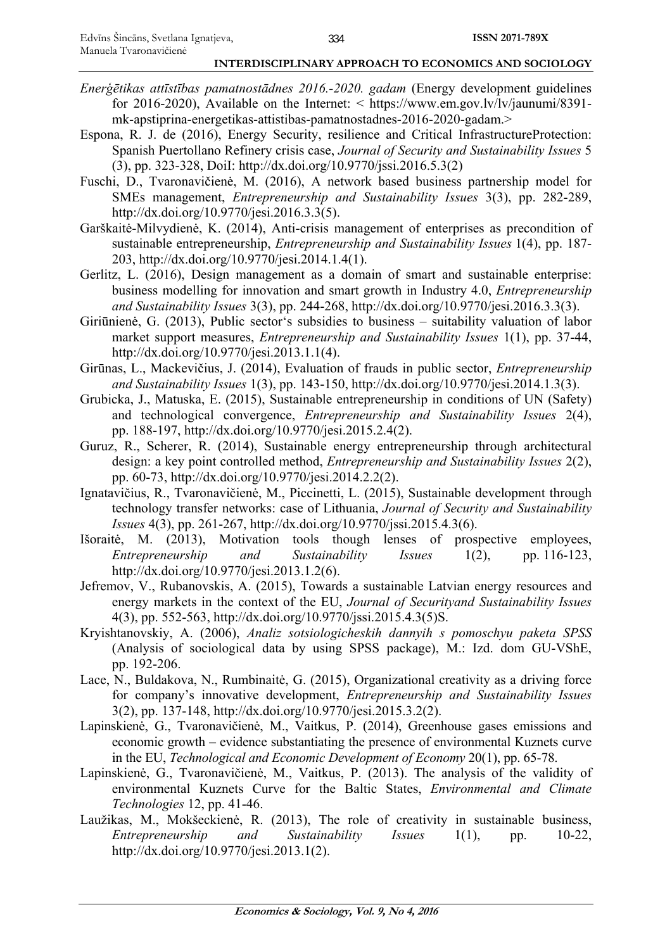- *Enerģētikas attīstības pamatnostādnes 2016.-2020. gadam* (Energy development guidelines for 2016-2020), Available on the Internet:  $\langle$  https://www.em.gov.lv/lv/jaunumi/8391mk-apstiprina-energetikas-attistibas-pamatnostadnes-2016-2020-gadam.>
- Espona, R. J. de (2016), Energy Security, resilience and Critical InfrastructureProtection: Spanish Puertollano Refinery crisis case, *Journal of Security and Sustainability Issues* 5 (3), pp. 323-328, DoiI: http://dx.doi.org/10.9770/jssi.2016.5.3(2)
- Fuschi, D., Tvaronavičienė, M. (2016), A network based business partnership model for SMEs management, *Entrepreneurship and Sustainability Issues* 3(3), pp. 282-289, http://dx.doi.org/10.9770/jesi.2016.3.3(5).
- Garškaitė-Milvydienė, K. (2014), Anti-crisis management of enterprises as precondition of sustainable entrepreneurship, *Entrepreneurship and Sustainability Issues* 1(4), pp. 187- 203, http://dx.doi.org/10.9770/jesi.2014.1.4(1).
- Gerlitz, L. (2016), Design management as a domain of smart and sustainable enterprise: business modelling for innovation and smart growth in Industry 4.0, *Entrepreneurship and Sustainability Issues* 3(3), pp. 244-268, http://dx.doi.org/10.9770/jesi.2016.3.3(3).
- Giriūnienė, G. (2013), Public sector's subsidies to business suitability valuation of labor market support measures, *Entrepreneurship and Sustainability Issues* 1(1), pp. 37-44, http://dx.doi.org/10.9770/jesi.2013.1.1(4).
- Girūnas, L., Mackevičius, J. (2014), Evaluation of frauds in public sector, *Entrepreneurship and Sustainability Issues* 1(3), pp. 143-150, http://dx.doi.org/10.9770/jesi.2014.1.3(3).
- Grubicka, J., Matuska, E. (2015), Sustainable entrepreneurship in conditions of UN (Safety) and technological convergence, *Entrepreneurship and Sustainability Issues* 2(4), pp. 188-197, http://dx.doi.org/10.9770/jesi.2015.2.4(2).
- Guruz, R., Scherer, R. (2014), Sustainable energy entrepreneurship through architectural design: a key point controlled method, *Entrepreneurship and Sustainability Issues* 2(2), pp. 60-73, http://dx.doi.org/10.9770/jesi.2014.2.2(2).
- Ignatavičius, R., Tvaronavičienė, M., Piccinetti, L. (2015), Sustainable development through technology transfer networks: case of Lithuania, *Journal of Security and Sustainability Issues* 4(3), pp. 261-267, http://dx.doi.org/10.9770/jssi.2015.4.3(6).
- Išoraitė, M. (2013), Motivation tools though lenses of prospective employees, *Entrepreneurship and Sustainability Issues* 1(2), pp. 116-123, http://dx.doi.org/10.9770/jesi.2013.1.2(6).
- Jefremov, V., Rubanovskis, A. (2015), Towards a sustainable Latvian energy resources and energy markets in the context of the EU, *Journal of Securityand Sustainability Issues*  4(3), pp. 552-563, http://dx.doi.org/10.9770/jssi.2015.4.3(5)S.
- Kryishtanovskiy, A. (2006), *Analiz sotsiologicheskih dannyih s pomoschyu paketa SPSS* (Analysis of sociological data by using SPSS package), M.: Izd. dom GU-VShE, pp. 192-206.
- Lace, N., Buldakova, N., Rumbinaitė, G. (2015), Organizational creativity as a driving force for company's innovative development, *Entrepreneurship and Sustainability Issues* 3(2), pp. 137-148, http://dx.doi.org/10.9770/jesi.2015.3.2(2).
- Lapinskienė, G., Tvaronavičienė, M., Vaitkus, P. (2014), Greenhouse gases emissions and economic growth – evidence substantiating the presence of environmental Kuznets curve in the EU, *Technological and Economic Development of Economy* 20(1), pp. 65-78.
- Lapinskienė, G., Tvaronavičienė, M., Vaitkus, P. (2013). The analysis of the validity of environmental Kuznets Curve for the Baltic States, *Environmental and Climate Technologies* 12, pp. 41-46.
- Laužikas, M., Mokšeckienė, R. (2013), The role of creativity in sustainable business, *Entrepreneurship and Sustainability Issues* 1(1), pp. 10-22, http://dx.doi.org/10.9770/jesi.2013.1(2).